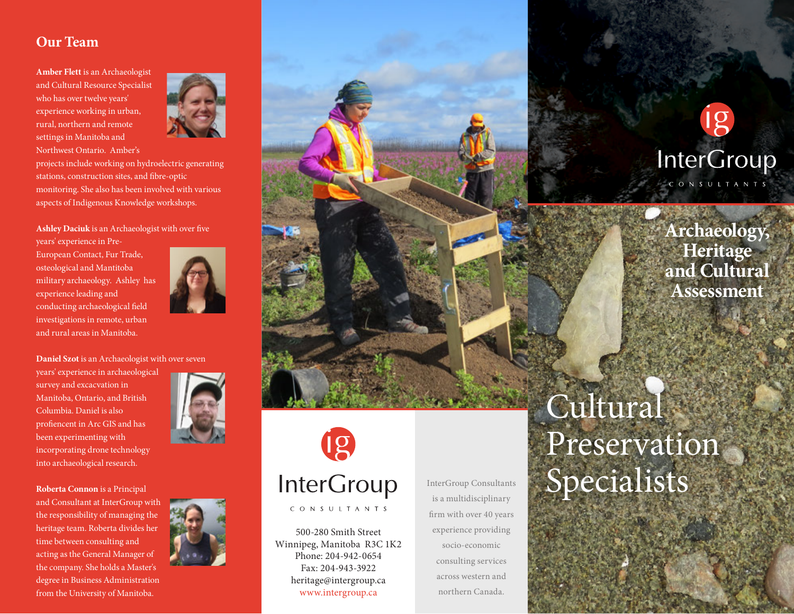#### **Our Team**

**Amber Flett** is an Archaeologist and Cultural Resource Specialist who has over twelve years' experience working in urban, rural, northern and remote settings in Manitoba and Northwest Ontario. Amber's



projects include working on hydroelectric generating stations, construction sites, and fibre-optic monitoring. She also has been involved with various aspects of Indigenous Knowledge workshops.

Ashley Daciuk is an Archaeologist with over five

years' experience in Pre-European Contact, Fur Trade, osteological and Mantitoba military archaeology. Ashley has experience leading and conducting archaeological field investigations in remote, urban and rural areas in Manitoba.



**Daniel Szot** is an Archaeologist with over seven

years' experience in archaeological survey and excacvation in Manitoba, Ontario, and British Columbia. Daniel is also profiencent in Arc GIS and has been experimenting with incorporating drone technology into archaeological research.

**Roberta Connon** is a Principal and Consultant at InterGroup with the responsibility of managing the heritage team. Roberta divides her time between consulting and acting as the General Manager of the company. She holds a Master's degree in Business Administration from the University of Manitoba.



**InterGroup** CONSULTANTS

500-280 Smith Street Winnipeg, Manitoba R3C 1K2 Phone: 204-942-0654 Fax: 204-943-3922 heritage@intergroup.ca www.intergroup.ca

InterGroup Consultants is a multidisciplinary firm with over 40 years experience providing socio-economic consulting services across western and northern Canada.

MF23426-0514

### **InterGroup** CONSULTANTS

**Archaeology, Heritage and Cultural Assessment**

# Cultural Preservation Specialists